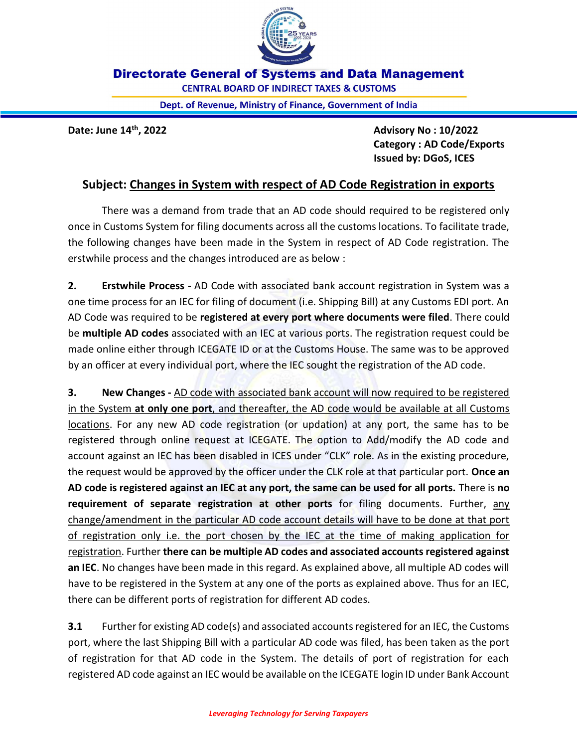

**Directorate General of Systems and Data Management** 

**CENTRAL BOARD OF INDIRECT TAXES & CUSTOMS** 

Dept. of Revenue, Ministry of Finance, Government of India

Date: June  $14^{\text{th}}$ , 2022  $\overline{a}$  and  $\overline{a}$  and  $\overline{a}$  and  $\overline{a}$  and  $\overline{a}$  and  $\overline{a}$  and  $\overline{a}$  and  $\overline{a}$  and  $\overline{a}$  and  $\overline{a}$  and  $\overline{a}$  and  $\overline{a}$  and  $\overline{a}$  and  $\overline{a}$  and  $\overline{a}$  an Category : AD Code/Exports Issued by: DGoS, ICES

## Subject: Changes in System with respect of AD Code Registration in exports

There was a demand from trade that an AD code should required to be registered only once in Customs System for filing documents across all the customs locations. To facilitate trade, the following changes have been made in the System in respect of AD Code registration. The erstwhile process and the changes introduced are as below :

2. Erstwhile Process - AD Code with associated bank account registration in System was a one time process for an IEC for filing of document (i.e. Shipping Bill) at any Customs EDI port. An AD Code was required to be registered at every port where documents were filed. There could be multiple AD codes associated with an IEC at various ports. The registration request could be made online either through ICEGATE ID or at the Customs House. The same was to be approved by an officer at every individual port, where the IEC sought the registration of the AD code.

**3.** New Changes - AD code with associated bank account will now required to be registered in the System at only one port, and thereafter, the AD code would be available at all Customs locations. For any new AD code registration (or updation) at any port, the same has to be registered through online request at ICEGATE. The option to Add/modify the AD code and account against an IEC has been disabled in ICES under "CLK" role. As in the existing procedure, the request would be approved by the officer under the CLK role at that particular port. Once an AD code is registered against an IEC at any port, the same can be used for all ports. There is no requirement of separate registration at other ports for filing documents. Further, any change/amendment in the particular AD code account details will have to be done at that port of registration only i.e. the port chosen by the IEC at the time of making application for registration. Further there can be multiple AD codes and associated accounts registered against an IEC. No changes have been made in this regard. As explained above, all multiple AD codes will have to be registered in the System at any one of the ports as explained above. Thus for an IEC, there can be different ports of registration for different AD codes.

**3.1** Further for existing AD code(s) and associated accounts registered for an IEC, the Customs port, where the last Shipping Bill with a particular AD code was filed, has been taken as the port of registration for that AD code in the System. The details of port of registration for each registered AD code against an IEC would be available on the ICEGATE login ID under Bank Account